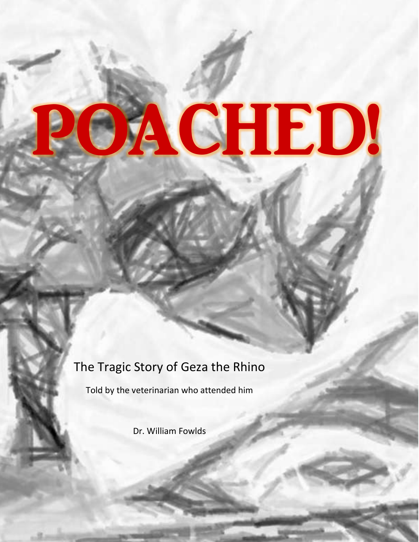# **ACHED!**

## The Tragic Story of Geza the Rhino

Told by the veterinarian who attended him

Dr. William Fowlds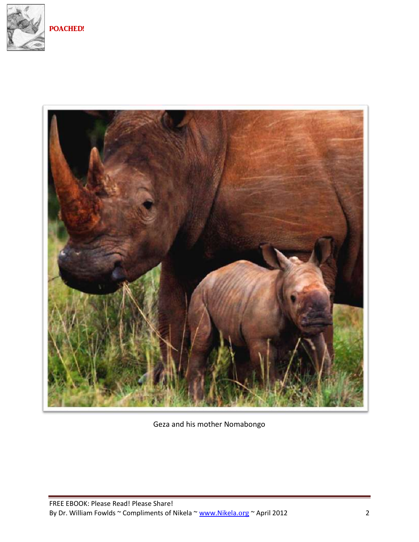



Geza and his mother Nomabongo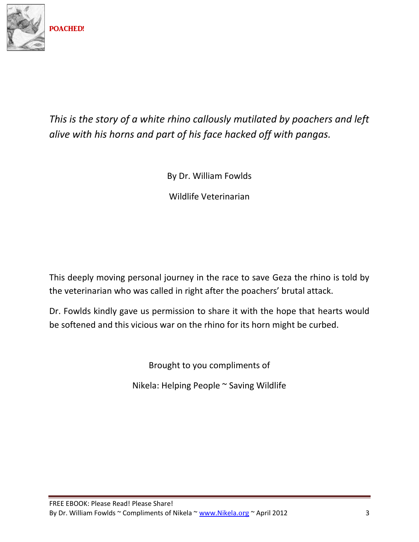

## *This is the story of a white rhino callously mutilated by poachers and left alive with his horns and part of his face hacked off with pangas.*

By Dr. William Fowlds

Wildlife Veterinarian

This deeply moving personal journey in the race to save Geza the rhino is told by the veterinarian who was called in right after the poachers' brutal attack.

Dr. Fowlds kindly gave us permission to share it with the hope that hearts would be softened and this vicious war on the rhino for its horn might be curbed.

Brought to you compliments of

Nikela: Helping People ~ Saving Wildlife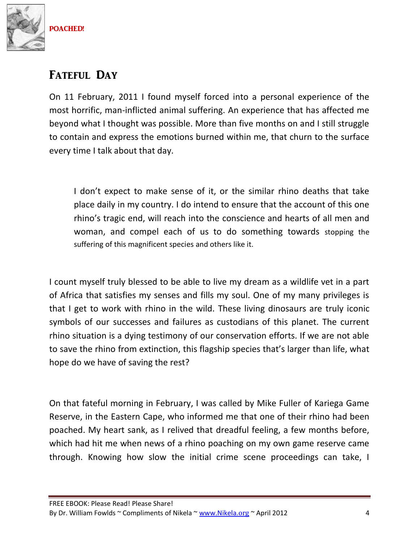

## FATEFUL DAY

On 11 February, 2011 I found myself forced into a personal experience of the most horrific, man-inflicted animal suffering. An experience that has affected me beyond what I thought was possible. More than five months on and I still struggle to contain and express the emotions burned within me, that churn to the surface every time I talk about that day.

I don't expect to make sense of it, or the similar rhino deaths that take place daily in my country. I do intend to ensure that the account of this one rhino's tragic end, will reach into the conscience and hearts of all men and woman, and compel each of us to do something towards stopping the suffering of this magnificent species and others like it.

I count myself truly blessed to be able to live my dream as a wildlife vet in a part of Africa that satisfies my senses and fills my soul. One of my many privileges is that I get to work with rhino in the wild. These living dinosaurs are truly iconic symbols of our successes and failures as custodians of this planet. The current rhino situation is a dying testimony of our conservation efforts. If we are not able to save the rhino from extinction, this flagship species that's larger than life, what hope do we have of saving the rest?

On that fateful morning in February, I was called by Mike Fuller of Kariega Game Reserve, in the Eastern Cape, who informed me that one of their rhino had been poached. My heart sank, as I relived that dreadful feeling, a few months before, which had hit me when news of a rhino poaching on my own game reserve came through. Knowing how slow the initial crime scene proceedings can take, I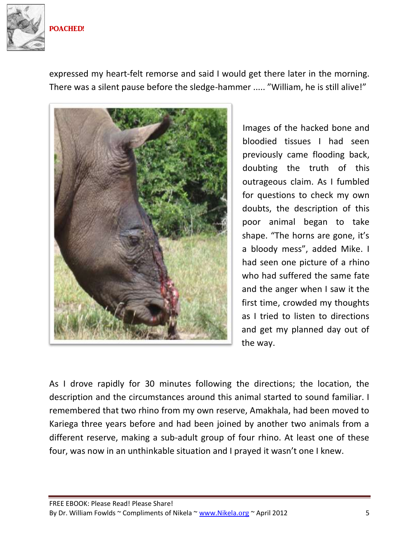

expressed my heart-felt remorse and said I would get there later in the morning. There was a silent pause before the sledge-hammer ..... "William, he is still alive!"



Images of the hacked bone and bloodied tissues I had seen previously came flooding back, doubting the truth of this outrageous claim. As I fumbled for questions to check my own doubts, the description of this poor animal began to take shape. "The horns are gone, it's a bloody mess", added Mike. I had seen one picture of a rhino who had suffered the same fate and the anger when I saw it the first time, crowded my thoughts as I tried to listen to directions and get my planned day out of the way.

As I drove rapidly for 30 minutes following the directions; the location, the description and the circumstances around this animal started to sound familiar. I remembered that two rhino from my own reserve, Amakhala, had been moved to Kariega three years before and had been joined by another two animals from a different reserve, making a sub-adult group of four rhino. At least one of these four, was now in an unthinkable situation and I prayed it wasn't one I knew.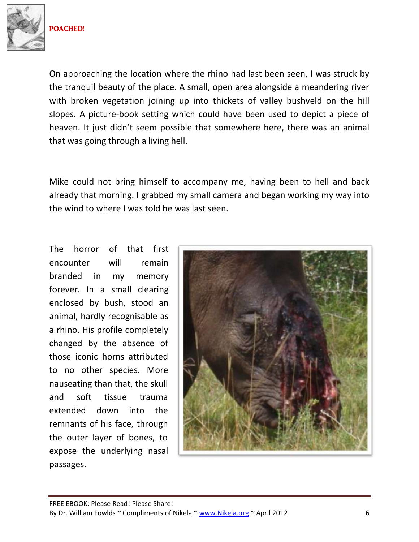

On approaching the location where the rhino had last been seen, I was struck by the tranquil beauty of the place. A small, open area alongside a meandering river with broken vegetation joining up into thickets of valley bushveld on the hill slopes. A picture-book setting which could have been used to depict a piece of heaven. It just didn't seem possible that somewhere here, there was an animal that was going through a living hell.

Mike could not bring himself to accompany me, having been to hell and back already that morning. I grabbed my small camera and began working my way into the wind to where I was told he was last seen.

The horror of that first encounter will remain branded in my memory forever. In a small clearing enclosed by bush, stood an animal, hardly recognisable as a rhino. His profile completely changed by the absence of those iconic horns attributed to no other species. More nauseating than that, the skull and soft tissue trauma extended down into the remnants of his face, through the outer layer of bones, to expose the underlying nasal passages.

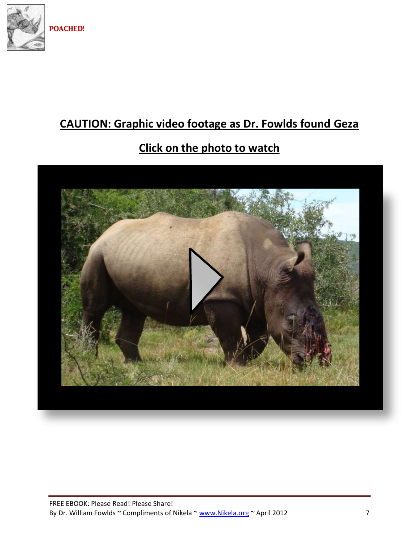

# **CAUTION: Graphic video footage as Dr. Fowlds found Geza**

## **Click on the photo to watch**

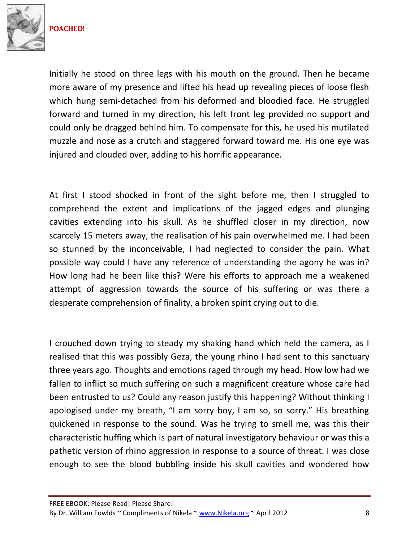

Initially he stood on three legs with his mouth on the ground. Then he became more aware of my presence and lifted his head up revealing pieces of loose flesh which hung semi-detached from his deformed and bloodied face. He struggled forward and turned in my direction, his left front leg provided no support and could only be dragged behind him. To compensate for this, he used his mutilated muzzle and nose as a crutch and staggered forward toward me. His one eye was injured and clouded over, adding to his horrific appearance.

At first I stood shocked in front of the sight before me, then I struggled to comprehend the extent and implications of the jagged edges and plunging cavities extending into his skull. As he shuffled closer in my direction, now scarcely 15 meters away, the realisation of his pain overwhelmed me. I had been so stunned by the inconceivable, I had neglected to consider the pain. What possible way could I have any reference of understanding the agony he was in? How long had he been like this? Were his efforts to approach me a weakened attempt of aggression towards the source of his suffering or was there a desperate comprehension of finality, a broken spirit crying out to die.

I crouched down trying to steady my shaking hand which held the camera, as I realised that this was possibly Geza, the young rhino I had sent to this sanctuary three years ago. Thoughts and emotions raged through my head. How low had we fallen to inflict so much suffering on such a magnificent creature whose care had been entrusted to us? Could any reason justify this happening? Without thinking I apologised under my breath, "I am sorry boy, I am so, so sorry." His breathing quickened in response to the sound. Was he trying to smell me, was this their characteristic huffing which is part of natural investigatory behaviour or was this a pathetic version of rhino aggression in response to a source of threat. I was close enough to see the blood bubbling inside his skull cavities and wondered how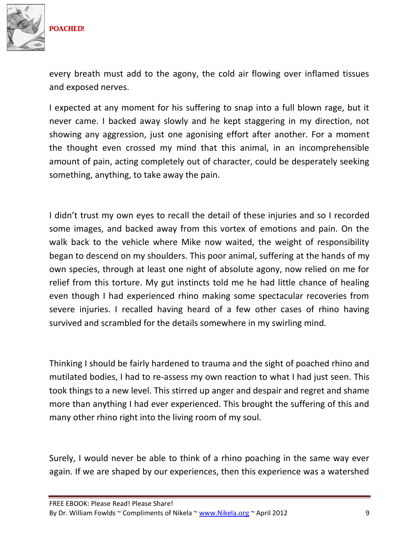

every breath must add to the agony, the cold air flowing over inflamed tissues and exposed nerves.

I expected at any moment for his suffering to snap into a full blown rage, but it never came. I backed away slowly and he kept staggering in my direction, not showing any aggression, just one agonising effort after another. For a moment the thought even crossed my mind that this animal, in an incomprehensible amount of pain, acting completely out of character, could be desperately seeking something, anything, to take away the pain.

I didn't trust my own eyes to recall the detail of these injuries and so I recorded some images, and backed away from this vortex of emotions and pain. On the walk back to the vehicle where Mike now waited, the weight of responsibility began to descend on my shoulders. This poor animal, suffering at the hands of my own species, through at least one night of absolute agony, now relied on me for relief from this torture. My gut instincts told me he had little chance of healing even though I had experienced rhino making some spectacular recoveries from severe injuries. I recalled having heard of a few other cases of rhino having survived and scrambled for the details somewhere in my swirling mind.

Thinking I should be fairly hardened to trauma and the sight of poached rhino and mutilated bodies, I had to re-assess my own reaction to what I had just seen. This took things to a new level. This stirred up anger and despair and regret and shame more than anything I had ever experienced. This brought the suffering of this and many other rhino right into the living room of my soul.

Surely, I would never be able to think of a rhino poaching in the same way ever again. If we are shaped by our experiences, then this experience was a watershed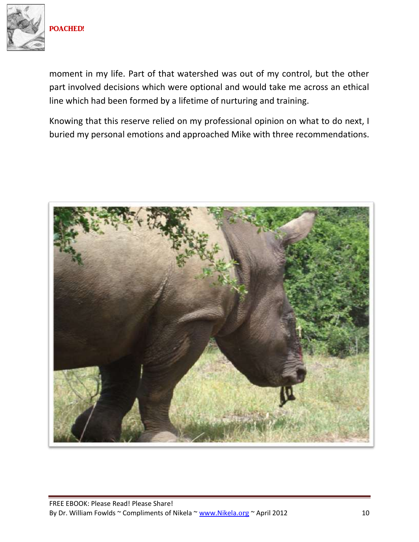

moment in my life. Part of that watershed was out of my control, but the other part involved decisions which were optional and would take me across an ethical line which had been formed by a lifetime of nurturing and training.

Knowing that this reserve relied on my professional opinion on what to do next, I buried my personal emotions and approached Mike with three recommendations.

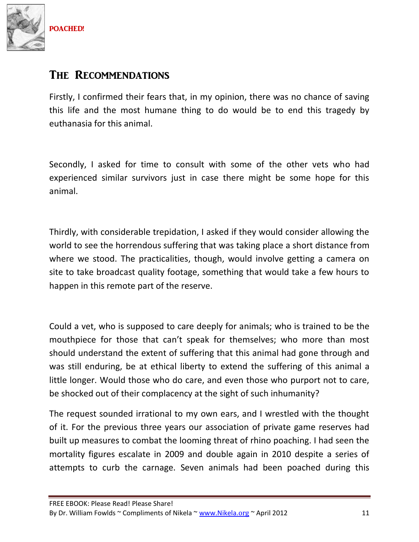

#### THE RECOMMENDATIONS

Firstly, I confirmed their fears that, in my opinion, there was no chance of saving this life and the most humane thing to do would be to end this tragedy by euthanasia for this animal.

Secondly, I asked for time to consult with some of the other vets who had experienced similar survivors just in case there might be some hope for this animal.

Thirdly, with considerable trepidation, I asked if they would consider allowing the world to see the horrendous suffering that was taking place a short distance from where we stood. The practicalities, though, would involve getting a camera on site to take broadcast quality footage, something that would take a few hours to happen in this remote part of the reserve.

Could a vet, who is supposed to care deeply for animals; who is trained to be the mouthpiece for those that can't speak for themselves; who more than most should understand the extent of suffering that this animal had gone through and was still enduring, be at ethical liberty to extend the suffering of this animal a little longer. Would those who do care, and even those who purport not to care, be shocked out of their complacency at the sight of such inhumanity?

The request sounded irrational to my own ears, and I wrestled with the thought of it. For the previous three years our association of private game reserves had built up measures to combat the looming threat of rhino poaching. I had seen the mortality figures escalate in 2009 and double again in 2010 despite a series of attempts to curb the carnage. Seven animals had been poached during this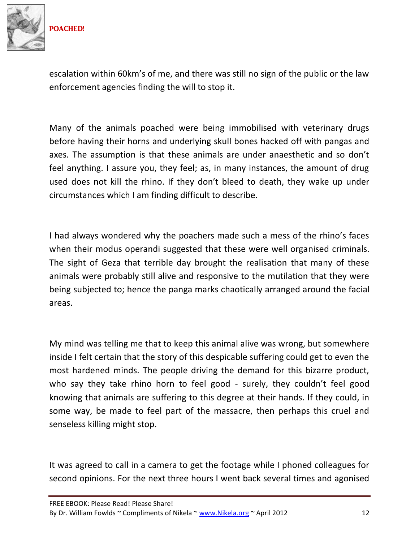

escalation within 60km's of me, and there was still no sign of the public or the law enforcement agencies finding the will to stop it.

Many of the animals poached were being immobilised with veterinary drugs before having their horns and underlying skull bones hacked off with pangas and axes. The assumption is that these animals are under anaesthetic and so don't feel anything. I assure you, they feel; as, in many instances, the amount of drug used does not kill the rhino. If they don't bleed to death, they wake up under circumstances which I am finding difficult to describe.

I had always wondered why the poachers made such a mess of the rhino's faces when their modus operandi suggested that these were well organised criminals. The sight of Geza that terrible day brought the realisation that many of these animals were probably still alive and responsive to the mutilation that they were being subjected to; hence the panga marks chaotically arranged around the facial areas.

My mind was telling me that to keep this animal alive was wrong, but somewhere inside I felt certain that the story of this despicable suffering could get to even the most hardened minds. The people driving the demand for this bizarre product, who say they take rhino horn to feel good - surely, they couldn't feel good knowing that animals are suffering to this degree at their hands. If they could, in some way, be made to feel part of the massacre, then perhaps this cruel and senseless killing might stop.

It was agreed to call in a camera to get the footage while I phoned colleagues for second opinions. For the next three hours I went back several times and agonised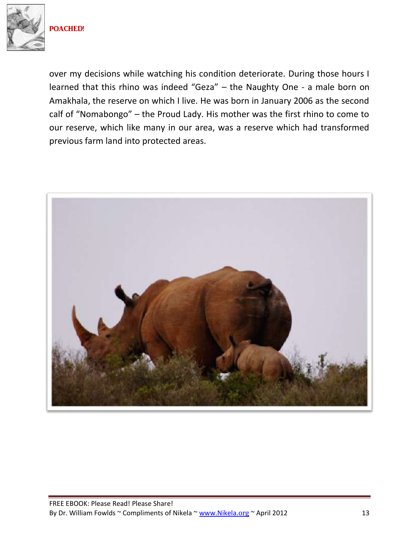

over my decisions while watching his condition deteriorate. During those hours I learned that this rhino was indeed "Geza" – the Naughty One - a male born on Amakhala, the reserve on which I live. He was born in January 2006 as the second calf of "Nomabongo" – the Proud Lady. His mother was the first rhino to come to our reserve, which like many in our area, was a reserve which had transformed previous farm land into protected areas.

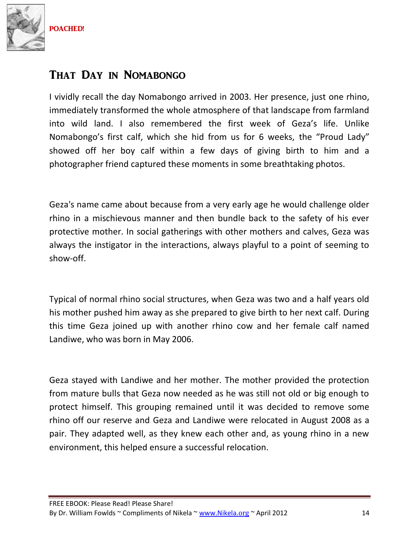

## That Day in Nomabongo

I vividly recall the day Nomabongo arrived in 2003. Her presence, just one rhino, immediately transformed the whole atmosphere of that landscape from farmland into wild land. I also remembered the first week of Geza's life. Unlike Nomabongo's first calf, which she hid from us for 6 weeks, the "Proud Lady" showed off her boy calf within a few days of giving birth to him and a photographer friend captured these moments in some breathtaking photos.

Geza's name came about because from a very early age he would challenge older rhino in a mischievous manner and then bundle back to the safety of his ever protective mother. In social gatherings with other mothers and calves, Geza was always the instigator in the interactions, always playful to a point of seeming to show-off.

Typical of normal rhino social structures, when Geza was two and a half years old his mother pushed him away as she prepared to give birth to her next calf. During this time Geza joined up with another rhino cow and her female calf named Landiwe, who was born in May 2006.

Geza stayed with Landiwe and her mother. The mother provided the protection from mature bulls that Geza now needed as he was still not old or big enough to protect himself. This grouping remained until it was decided to remove some rhino off our reserve and Geza and Landiwe were relocated in August 2008 as a pair. They adapted well, as they knew each other and, as young rhino in a new environment, this helped ensure a successful relocation.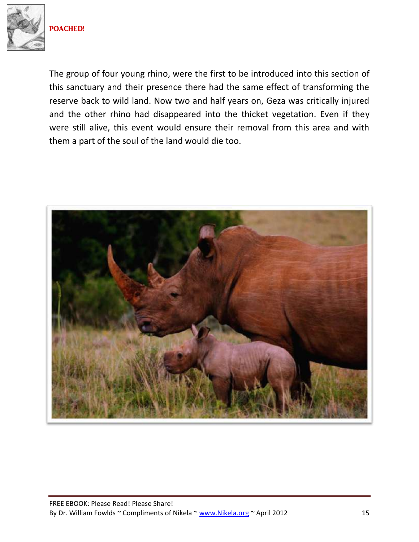

The group of four young rhino, were the first to be introduced into this section of this sanctuary and their presence there had the same effect of transforming the reserve back to wild land. Now two and half years on, Geza was critically injured and the other rhino had disappeared into the thicket vegetation. Even if they were still alive, this event would ensure their removal from this area and with them a part of the soul of the land would die too.

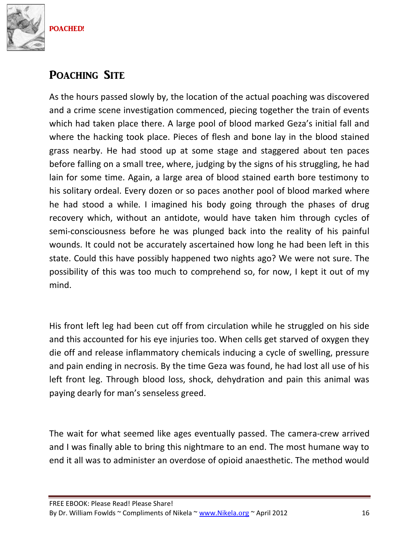

## POACHING SITE

As the hours passed slowly by, the location of the actual poaching was discovered and a crime scene investigation commenced, piecing together the train of events which had taken place there. A large pool of blood marked Geza's initial fall and where the hacking took place. Pieces of flesh and bone lay in the blood stained grass nearby. He had stood up at some stage and staggered about ten paces before falling on a small tree, where, judging by the signs of his struggling, he had lain for some time. Again, a large area of blood stained earth bore testimony to his solitary ordeal. Every dozen or so paces another pool of blood marked where he had stood a while. I imagined his body going through the phases of drug recovery which, without an antidote, would have taken him through cycles of semi-consciousness before he was plunged back into the reality of his painful wounds. It could not be accurately ascertained how long he had been left in this state. Could this have possibly happened two nights ago? We were not sure. The possibility of this was too much to comprehend so, for now, I kept it out of my mind.

His front left leg had been cut off from circulation while he struggled on his side and this accounted for his eye injuries too. When cells get starved of oxygen they die off and release inflammatory chemicals inducing a cycle of swelling, pressure and pain ending in necrosis. By the time Geza was found, he had lost all use of his left front leg. Through blood loss, shock, dehydration and pain this animal was paying dearly for man's senseless greed.

The wait for what seemed like ages eventually passed. The camera-crew arrived and I was finally able to bring this nightmare to an end. The most humane way to end it all was to administer an overdose of opioid anaesthetic. The method would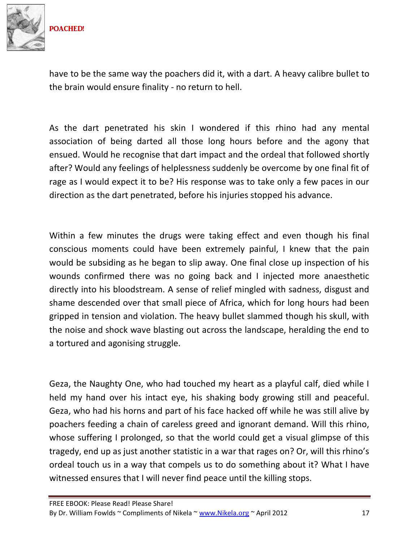

have to be the same way the poachers did it, with a dart. A heavy calibre bullet to the brain would ensure finality - no return to hell.

As the dart penetrated his skin I wondered if this rhino had any mental association of being darted all those long hours before and the agony that ensued. Would he recognise that dart impact and the ordeal that followed shortly after? Would any feelings of helplessness suddenly be overcome by one final fit of rage as I would expect it to be? His response was to take only a few paces in our direction as the dart penetrated, before his injuries stopped his advance.

Within a few minutes the drugs were taking effect and even though his final conscious moments could have been extremely painful, I knew that the pain would be subsiding as he began to slip away. One final close up inspection of his wounds confirmed there was no going back and I injected more anaesthetic directly into his bloodstream. A sense of relief mingled with sadness, disgust and shame descended over that small piece of Africa, which for long hours had been gripped in tension and violation. The heavy bullet slammed though his skull, with the noise and shock wave blasting out across the landscape, heralding the end to a tortured and agonising struggle.

Geza, the Naughty One, who had touched my heart as a playful calf, died while I held my hand over his intact eye, his shaking body growing still and peaceful. Geza, who had his horns and part of his face hacked off while he was still alive by poachers feeding a chain of careless greed and ignorant demand. Will this rhino, whose suffering I prolonged, so that the world could get a visual glimpse of this tragedy, end up as just another statistic in a war that rages on? Or, will this rhino's ordeal touch us in a way that compels us to do something about it? What I have witnessed ensures that I will never find peace until the killing stops.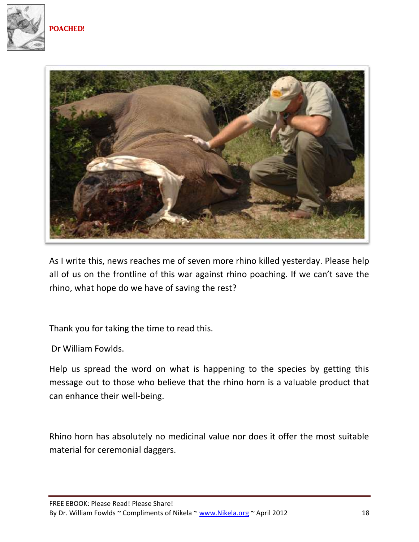



As I write this, news reaches me of seven more rhino killed yesterday. Please help all of us on the frontline of this war against rhino poaching. If we can't save the rhino, what hope do we have of saving the rest?

Thank you for taking the time to read this.

Dr William Fowlds.

Help us spread the word on what is happening to the species by getting this message out to those who believe that the rhino horn is a valuable product that can enhance their well-being.

Rhino horn has absolutely no medicinal value nor does it offer the most suitable material for ceremonial daggers.